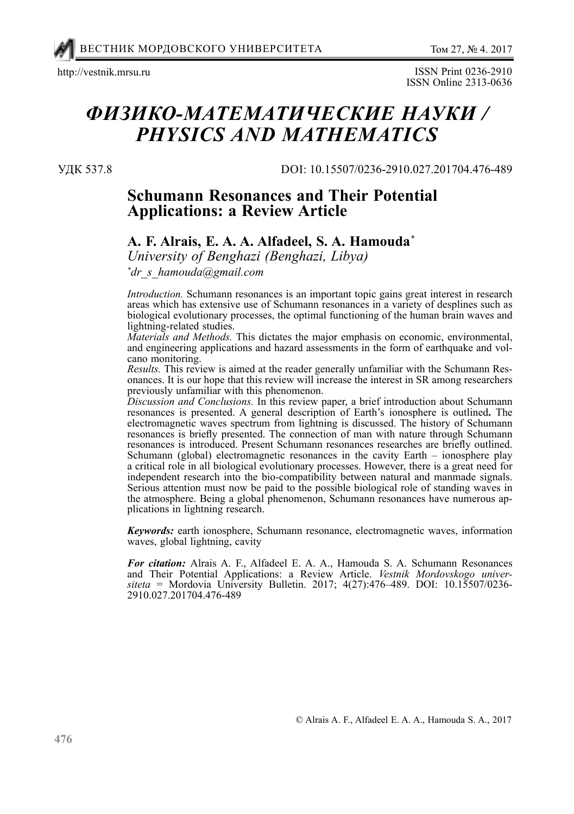

http://vestnik.mrsu.ru ISSN Print 0236-2910 ISSN Online 2313-0636

# *физико-математические науки / PHYSICS AND MATHEMATICS*

УДК 537.8

DOI: 10.15507/0236-2910.027.201704.476-489

# **Schumann Resonances and Their Potential Applications: a Review Article**

## **A. F. Alrais, E. A. A. Alfadeel, S. A. Hamouda***\**

*University of Benghazi (Benghazi, Libya)*

*\* dr\_s\_hamouda@gmail.com*

*Introduction.* Schumann resonances is an important topic gains great interest in research areas which has extensive use of Schumann resonances in a variety of desplines such as biological evolutionary processes, the optimal functioning of the human brain waves and lightning-related studies.

*Materials and Methods.* This dictates the major emphasis on economic, environmental, and engineering applications and hazard assessments in the form of earthquake and volcano monitoring.

*Results.* This review is aimed at the reader generally unfamiliar with the Schumann Resonances. It is our hope that this review will increase the interest in SR among researchers previously unfamiliar with this phenomenon.

*Discussion and Conclusions.* In this review paper, a brief introduction about Schumann resonances is presented. A general description of Earth's ionosphere is outlined**.** The electromagnetic waves spectrum from lightning is discussed. The history of Schumann resonances is briefly presented. The connection of man with nature through Schumann resonances is introduced. Present Schumann resonances researches are briefly outlined. Schumann (global) electromagnetic resonances in the cavity Earth – ionosphere play a critical role in all biological evolutionary processes. However, there is a great need for independent research into the bio-compatibility between natural and manmade signals. Serious attention must now be paid to the possible biological role of standing waves in the atmosphere. Being a global phenomenon, Schumann resonances have numerous applications in lightning research.

*Keywords:* earth ionosphere, Schumann resonance, electromagnetic waves, information waves, global lightning, cavity

*For citation:* Alrais A. F., Alfadeel E. A. A., Hamouda S. A. Schumann Resonances and Their Potential Applications: a Review Article. *Vestnik Mordovskogo univer*siteta = Mordovia University Bulletin. 2017; 4(27):476-489. DOI: 10.15507/0236-2910.027.201704.476-489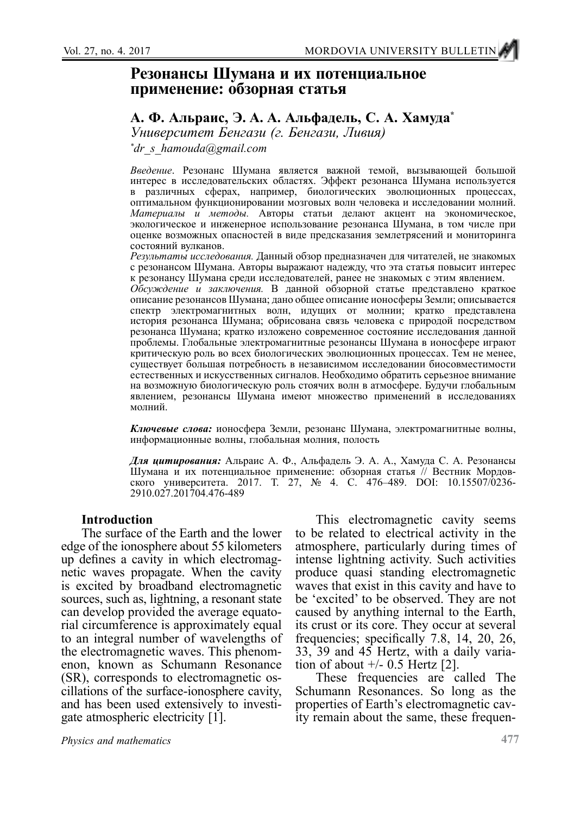# **Резонансы Шумана и их потенциальное применение: обзорная статья**

## **A. Ф. Альраис, Э. A. A. Альфадель, С. А. Хамуда\***

*Университет Бенгази (г. Бенгази, Ливия)*

*\* dr\_s\_hamouda@gmail.com*

*Введение*. Резонанс Шумана является важной темой, вызывающей большой интерес в исследовательских областях. Эффект резонанса Шумана используется в различных сферах, например, биологических эволюционных процессах, оптимальном функционировании мозговых волн человека и исследовании молний. *Материалы и методы.* Авторы статьи делают акцент на экономическое, экологическое и инженерное использование резонанса Шумана, в том числе при оценке возможных опасностей в виде предсказания землетрясений и мониторинга состояний вулканов.

*Результаты исследования.* Данный обзор предназначен для читателей, не знакомых с резонансом Шумана. Авторы выражают надежду, что эта статья повысит интерес к резонансу Шумана среди исследователей, ранее не знакомых с этим явлением.

*Обсуждение и заключения.* В данной обзорной статье представлено краткое описание резонансов Шумана; дано общее описание ионосферы Земли; описывается спектр электромагнитных волн, идущих от молнии; кратко представлена история резонанса Шумана; обрисована связь человека с природой посредством резонанса Шумана; кратко изложено современное состояние исследования данной проблемы. Глобальные электромагнитные резонансы Шумана в ионосфере играют критическую роль во всех биологических эволюционных процессах. Тем не менее, существует большая потребность в независимом исследовании биосовместимости естественных и искусственных сигналов. Необходимо обратить серьезное внимание на возможную биологическую роль стоячих волн в атмосфере. Будучи глобальным явлением, резонансы Шумана имеют множество применений в исследованиях молний.

*Ключевые слова:* ионосфера Земли, резонанс Шумана, электромагнитные волны, информационные волны, глобальная молния, полость

*Для цитирования:* Альраис А. Ф., Альфадель Э. А. А., Хамуда С. А. Резонансы Шумана и их потенциальное применение: обзорная статья // Вестник Мордовского университета. 2017. Т. 27, № 4. С. 476–489. DOI: 10.15507/0236- 2910.027.201704.476-489

#### **Introduction**

The surface of the Earth and the lower edge of the ionosphere about 55 kilometers up defines a cavity in which electromagnetic waves propagate. When the cavity is excited by broadband electromagnetic sources, such as, lightning, a resonant state can develop provided the average equatorial circumference is approximately equal to an integral number of wavelengths of the electromagnetic waves. This phenomenon, known as Schumann Resonance (SR), corresponds to electromagnetic oscillations of the surface-ionosphere cavity, and has been used extensively to investigate atmospheric electricity [1].

This electromagnetic cavity seems to be related to electrical activity in the atmosphere, particularly during times of intense lightning activity. Such activities produce quasi standing electromagnetic waves that exist in this cavity and have to be 'excited' to be observed. They are not caused by anything internal to the Earth, its crust or its core. They occur at several frequencies; specifically 7.8, 14, 20, 26, 33, 39 and 45 Hertz, with a daily variation of about  $+/- 0.5$  Hertz [2].

These frequencies are called The Schumann Resonances. So long as the properties of Earth's electromagnetic cavity remain about the same, these frequen-

*Physics and mathematics*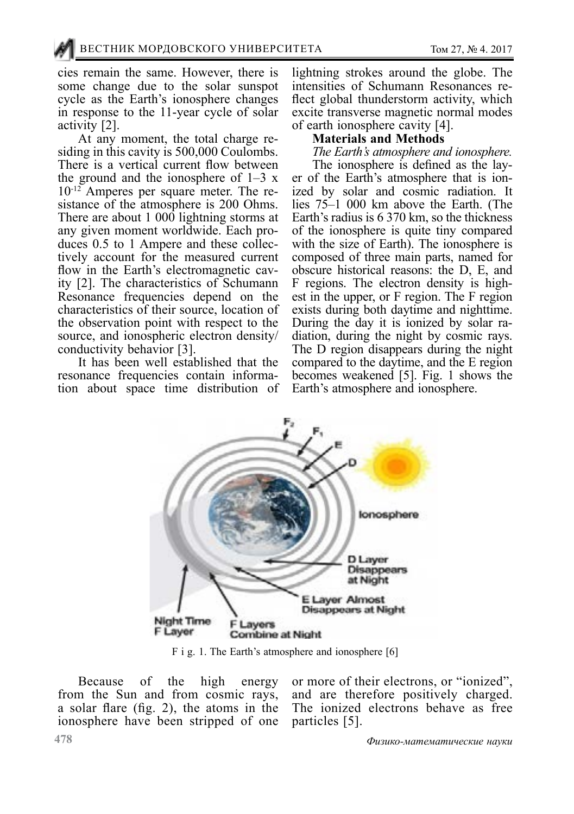cies remain the same. However, there is some change due to the solar sunspot cycle as the Earth's ionosphere changes in response to the 11-year cycle of solar

activity [2].<br>At any moment, the total charge residing in this cavity is 500,000 Coulombs. There is a vertical current flow between the ground and the ionosphere of  $1-3x$  $10^{-12}$  Amperes per square meter. The resistance of the atmosphere is 200 Ohms. There are about 1 000 lightning storms at any given moment worldwide. Each produces 0.5 to 1 Ampere and these collectively account for the measured current flow in the Earth's electromagnetic cavity [2]. The characteristics of Schumann Resonance frequencies depend on the characteristics of their source, location of the observation point with respect to the source, and ionospheric electron density/ conductivity behavior [3].

It has been well established that the resonance frequencies contain information about space time distribution of lightning strokes around the globe. The flect global thunderstorm activity, which excite transverse magnetic normal modes of earth ionosphere cavity [4].

#### **Materials and Methods**

*The Earth's atmosphere and ionosphere.*

er of the Earth's atmosphere that is ion-<br>ized by solar and cosmic radiation. It lies 75–1 000 km above the Earth. (The Earth's radius is 6 370 km, so the thickness of the ionosphere is quite tiny compared with the size of Earth). The ionosphere is composed of three main parts, named for obscure historical reasons: the D, E, and F regions. The electron density is highest in the upper, or F region. The F region exists during both daytime and nighttime.<br>During the day it is ionized by solar radiation, during the night by cosmic rays. The D region disappears during the night compared to the daytime, and the E region becomes weakened [5]. Fig. 1 shows the Earth's atmosphere and ionosphere.



F i g. 1. The Earth's atmosphere and ionosphere [6]

Because of the high energy from the Sun and from cosmic rays, a solar flare (fig. 2), the atoms in the ionosphere have been stripped of one

or more of their electrons, or "ionized", and are therefore positively charged. The ionized electrons behave as free particles [5].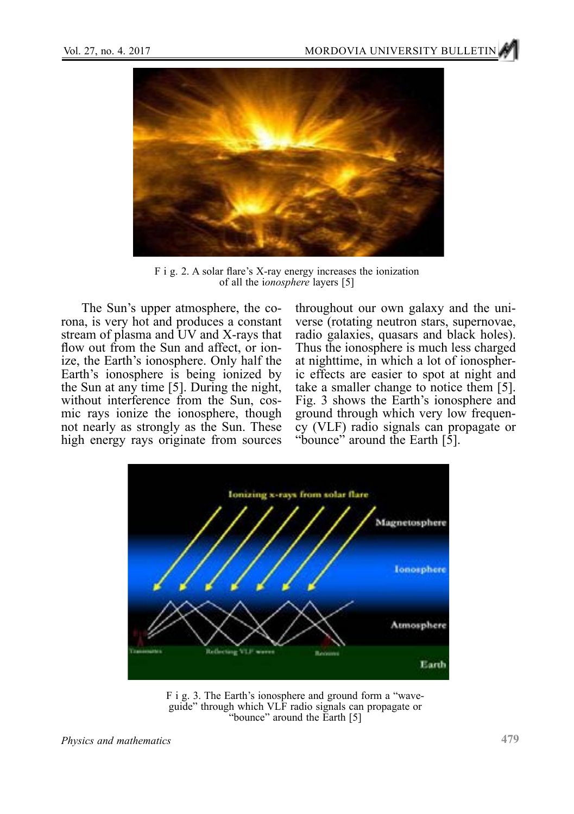

F i g. 2. A solar flare's X-ray energy increases the ionization of all the i*onosphere* layers [5]

The Sun's upper atmosphere, the [co](http://solar-center.stanford.edu/SID/activities/glossary.html#corona)[rona,](http://solar-center.stanford.edu/SID/activities/glossary.html#corona) is very hot and produces a constant stream of plasma and UV and X-rays that flow out from the Sun and affect, or ionize, the Earth's ionosphere. Only half the Earth's ionosphere is being ionized by the Sun at any time [5]. During the night, without interference from the Sun, cosmic rays ionize the ionosphere, though not nearly as strongly as the Sun. These high energy rays originate from sources

throughout our own galaxy and the universe (rotating [neutron stars,](http://en.wikipedia.org/wiki/Neutron_star) [supernovae](http://en.wikipedia.org/wiki/Supernovae), [radio galaxies](http://en.wikipedia.org/wiki/Radio_galaxies), [quasars](http://en.wikipedia.org/wiki/Quasars) and [black holes](http://en.wikipedia.org/wiki/Black_holes)). Thus the ionosphere is much less charged at nighttime, in which a lot of ionospheric effects are easier to spot at night and take a smaller change to notice them [5]. Fig. 3 shows the Earth's ionosphere and ground through which very low frequen- cy (VLF) radio signals can propagate or "bounce" around the Earth [5].



F i g. 3. The Earth's ionosphere and ground form a "wave- guide" through which VLF radio signals can propagate or "bounce" around the Earth [5]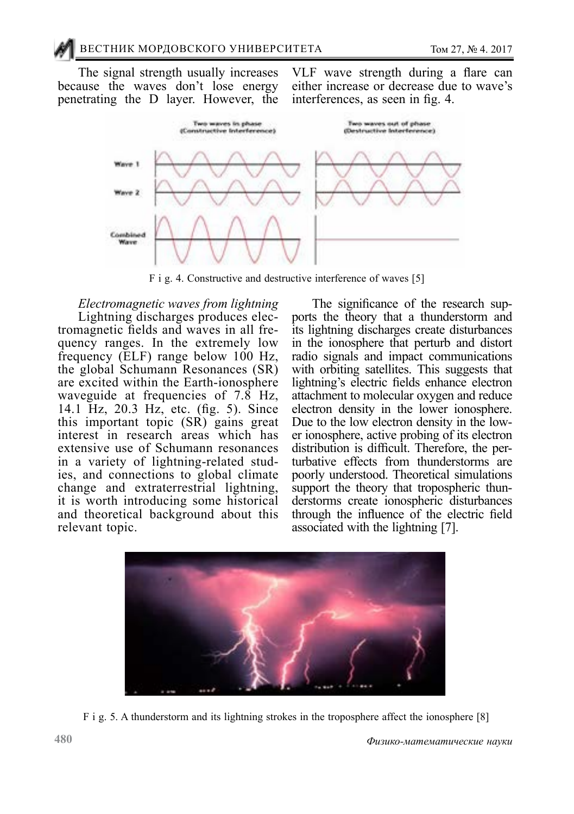The signal strength usually increases because the waves don't lose energy penetrating the D layer. However, the

VLF wave strength during a flare can either increase or decrease due to wave's [interferences,](http://solar-center.stanford.edu/SID/activities/glossary.html#interference) as seen in fig. 4.



F i g. 4. Constructive and destructive interference of waves [5]

*Electromagnetic waves from lightning* tromagnetic fields and waves in all frequency ranges. In the extremely low frequency (ELF) range below 100 Hz, the global Schumann Resonances (SR) are excited within the Earth-ionosphere waveguide at frequencies of 7.8 Hz, 14.1 Hz, 20.3 Hz, etc. (fig. 5). Since this important topic (SR) gains great interest in research areas which has extensive use of Schumann resonances in a variety of lightning-related stud- ies, and connections to global climate change and extraterrestrial lightning, it is worth introducing some historical and theoretical background about this relevant topic.

The significance of the research supports the theory that a thunderstorm and its lightning discharges create disturbances in the ionosphere that perturb and distort radio signals and impact communications with [orbiting satellites](https://phys.org/tags/orbiting+satellites/). This suggests that lightning's electric fields enhance electron attachment to [molecular oxygen](https://phys.org/tags/molecular+oxygen/) and reduce electron density in the lower ionosphere. Due to the low electron density in the lower ionosphere, active probing of its electron distribution is difficult. Therefore, the perturbative effects from thunderstorms are poorly understood. Theoretical simulations support the theory that tropospheric thunderstorms create ionospheric disturbances through the influence of the electric field associated with the lightning [7].



F i g. 5. A thunderstorm and its lightning strokes in the troposphere affect the ionosphere [8]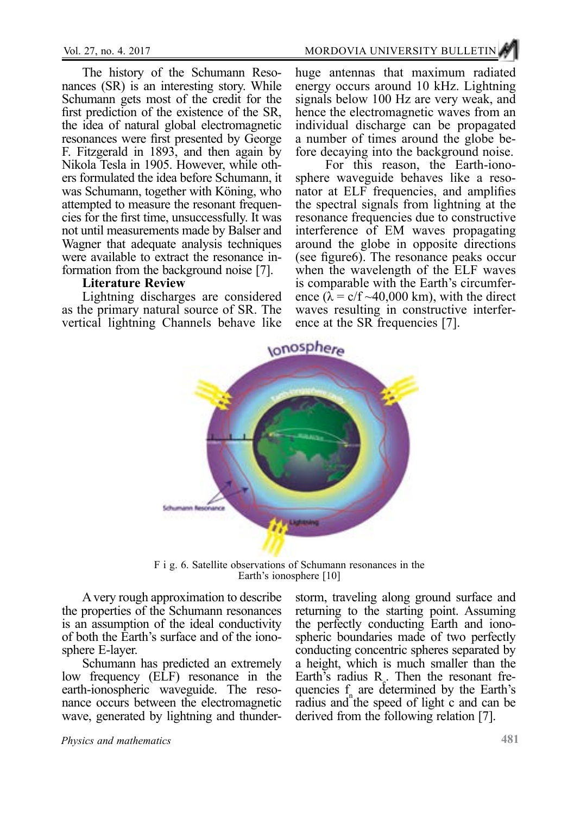The history of the Schumann Reso-<br>nances (SR) is an interesting story. While Schumann gets most of the credit for the first prediction of the existence of the SR, the idea of natural global electromagnetic resonances were first presented by George F. Fitzgerald in 1893, and then again by ers formulated the idea before Schumann, it was Schumann, together with Köning, who attempted to measure the resonant frequencies for the first time, unsuccessfully. It was not until measurements made by Balser and Wagner that adequate analysis techniques were available to extract the resonance information from the background noise [7].

#### **Literature Review**

Lightning discharges are considered as the primary natural source of SR. The vertical lightning Channels behave like

huge antennas that maximum radiated energy occurs around 10 kHz. Lightning signals below 100 Hz are very weak, and hence the electromagnetic waves from an individual discharge can be propagated

fore decaying into the background noise.<br>For this reason, the Earth-ionosphere waveguide behaves like a reso- nator at ELF frequencies, and amplifies the spectral signals from lightning at the resonance frequencies due to constructive interference of EM waves propagating around the globe in opposite directions (see figure6). The resonance peaks occur when the wavelength of the ELF waves<br>is comparable with the Earth's circumference  $(\lambda = c/f ~ 40,000$  km), with the direct waves resulting in constructive interference at the SR frequencies [7].



F i g. 6. Satellite observations of Schumann resonances in the Earth's ionosphere [10]

A very rough approximation to describe the properties of the Schumann resonances is an assumption of the ideal conductivity of both the Earth's surface and of the ionosphere E-layer.

Schumann has predicted an extremely low frequency (ELF) resonance in the earth-ionospheric waveguide. The resonance occurs between the electromagnetic wave, generated by lightning and thunderstorm, traveling along ground surface and returning to the starting point. Assuming the perfectly conducting Earth and ionospheric boundaries made of two perfectly conducting concentric spheres separated by a height, which is much smaller than the Earth's radius  $R_e$ . Then the resonant frequencies  $f_n$  are determined by the Earth's radius and the speed of light c and can be derived from the following relation [7].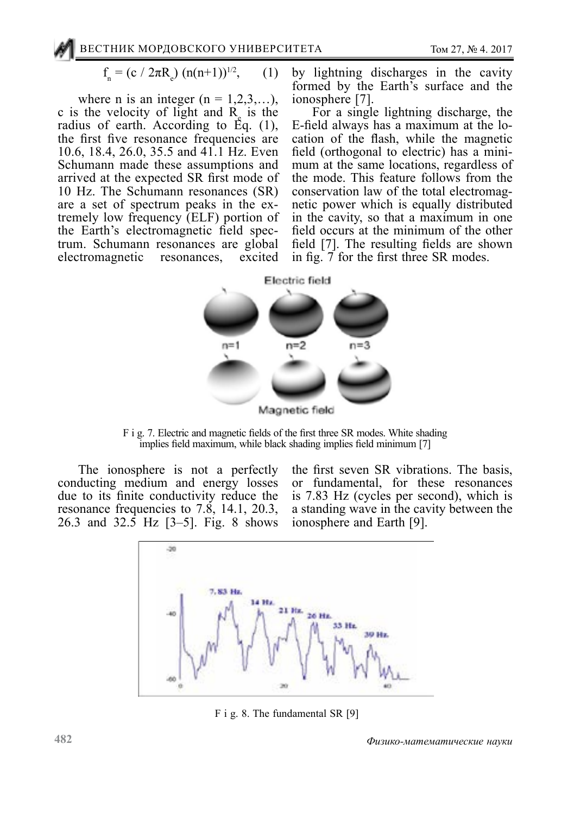$$
f_n = (c / 2\pi R_e) (n(n+1))^{1/2}, \qquad (1)
$$

where n is an integer  $(n = 1, 2, 3, \ldots)$ , c is the velocity of light and  $R_{\rm g}$  is the radius of earth. According to Eq. (1), the first five resonance frequencies are 10.6, 18.4, 26.0, 35.5 and 41.1 Hz. Even Schumann made these assumptions and arrived at the expected SR first mode of 10 Hz. The Schumann resonances (SR) tremely low frequency (ELF) portion of<br>the Earth's electromagnetic field spectrum. Schumann resonances are global electromagnetic resonances, excited

by lightning discharges in the cavity formed by the Earth's surface and the ionosphere [7].

For a single lightning discharge, the E-field always has a maximum at the location of the flash, while the magnetic field (orthogonal to electric) has a mini- mum at the same locations, regardless of the mode. This feature follows from the conservation law of the total electromagnetic power which is equally distributed in the cavity, so that a maximum in one field occurs at the minimum of the other field [7]. The resulting fields are shown in fig. 7 for the first three SR modes.



F i g. 7. Electric and magnetic fields of the first three SR modes. White shading implies field maximum, while black shading implies field minimum [7]

The ionosphere is not a perfectly conducting medium and energy losses due to its finite conductivity reduce the resonance frequencies to 7.8, 14.1, 20.3, 26.3 and 32.5 Hz [3–5]. Fig. 8 shows

the first seven SR vibrations. The basis, or fundamental, for these resonances is 7.83 Hz (cycles per second), which is a standing wave in the cavity between the ionosphere and Earth [9].



F i g. 8. The fundamental SR [9]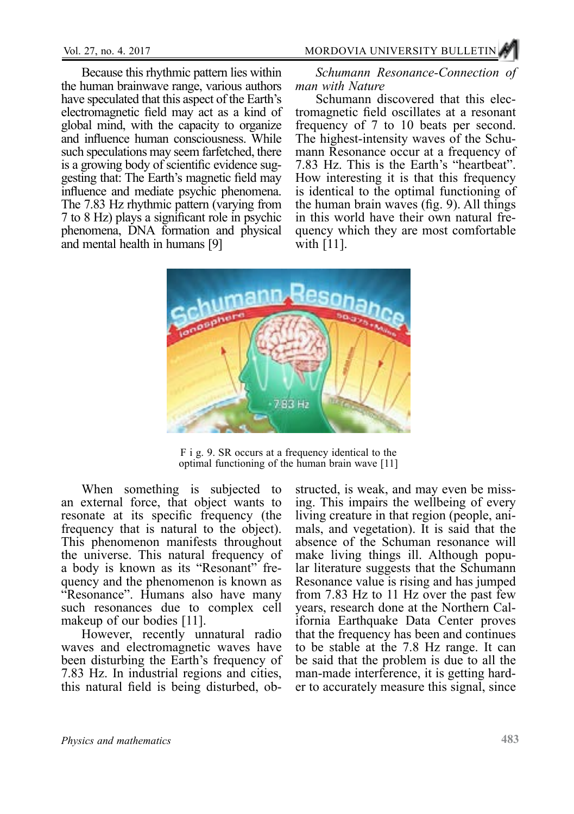Because this rhythmic pattern lies within the human brainwave range, various authors have speculated that this aspect of the Earth's electromagnetic field may act as a kind of global mind, with the capacity to organize and influence human consciousness. While such speculations may seem farfetched, there is a growing body of scientific evidence suggesting that: The Earth's magnetic field may influence and mediate psychic phenomena. The 7.83 Hz rhythmic pattern (varying from 7 to 8 Hz) plays a significant role in psychic phenomena, DNA formation and physical and mental health in humans [9]

*Schumann Resonance-Connection of man with Nature*

Schumann discovered that this electromagnetic field oscillates at a resonant frequency of 7 to 10 beats per second. The highest-intensity waves of the Schumann Resonance occur at a frequency of 7.83 Hz. This is the Earth's "heartbeat". How interesting it is that this frequency is identical to the optimal functioning of the human brain waves (fig. 9). All things in this world have their own natural frequency which they are most comfortable with [11].



F i g. 9. SR occurs at a frequency identical to the optimal functioning of the human brain wave [11]

When something is subjected to an external force, that object wants to resonate at its specific frequency (the frequency that is natural to the object). This phenomenon manifests throughout the universe. This natural frequency of a body is known as its "Resonant" frequency and the phenomenon is known as "Resonance". Humans also have many such resonances due to complex cell makeup of our bodies [11].

However, recently unnatural radio waves and electromagnetic waves have been disturbing the Earth's frequency of 7.83 Hz. In industrial regions and cities, this natural field is being disturbed, ob-

structed, is weak, and may even be missing. This impairs the wellbeing of every living creature in that region (people, animals, and vegetation). It is said that the absence of the Schuman resonance will make living things ill. Although popular literature suggests that the Schumann Resonance value is rising and has jumped from 7.83 Hz to 11 Hz over the past few years, research done at the Northern California Earthquake Data Center proves that the frequency has been and continues to be stable at the 7.8 Hz range. It can be said that the problem is due to all the man-made interference, it is getting harder to accurately measure this signal, since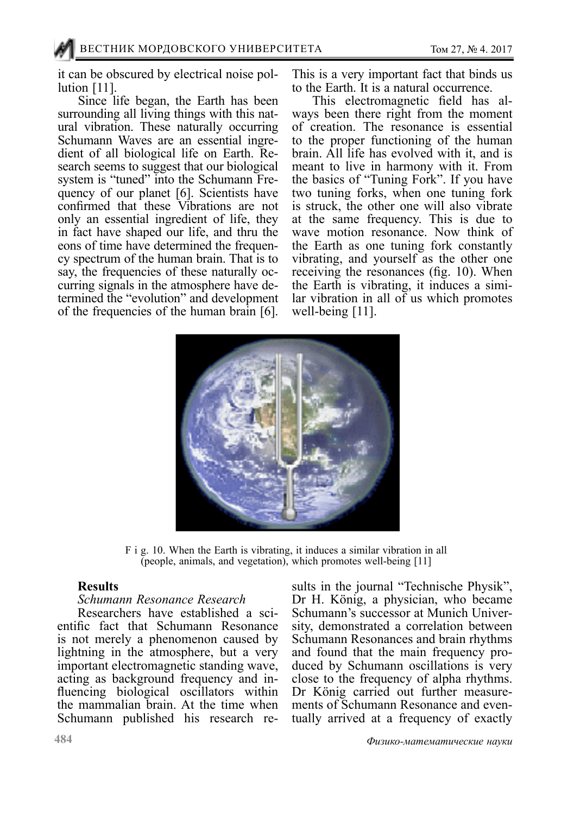it can be obscured by electrical noise pollution [11].

Since life began, the Earth has been surrounding all living things with this natural vibration. These naturally occurring Schumann Waves are an essential ingredient of all biological life on Earth. Research seems to suggest that our biological system is "tuned" into the Schumann Frequency of our planet [6]. Scientists have confirmed that these Vibrations are not only an essential ingredient of life, they in fact have shaped our life, and thru the eons of time have determined the frequency spectrum of the human brain. That is to say, the frequencies of these naturally occurring signals in the atmosphere have determined the "evolution" and development of the frequencies of the human brain [6].

This is a very important fact that binds us to the Earth. It is a natural occurrence.

This electromagnetic field has always been there right from the moment of creation. The resonance is essential to the proper functioning of the human brain. All life has evolved with it, and is meant to live in harmony with it. From the basics of "Tuning Fork". If you have two tuning forks, when one tuning fork is struck, the other one will also vibrate at the same frequency. This is due to wave motion resonance. Now think of the Earth as one tuning fork constantly vibrating, and yourself as the other one receiving the resonances (fig. 10). When the Earth is vibrating, it induces a similar vibration in all of us which promotes well-being [11].



F i g. 10. When the Earth is vibrating, it induces a similar vibration in all (people, animals, and vegetation), which promotes well-being [11]

#### **Results**

#### *Schumann Resonance Research*

Researchers have established a scientific fact that Schumann Resonance is not merely a phenomenon caused by lightning in the atmosphere, but a very important electromagnetic standing wave, acting as background frequency and influencing biological oscillators within the mammalian brain. At the time when Schumann published his research results in the journal "Technische Physik", Dr H. König, a physician, who became Schumann's successor at Munich University, demonstrated a correlation between Schumann Resonances and brain rhythms and found that the main frequency produced by Schumann oscillations is very close to the frequency of alpha rhythms. Dr König carried out further measurements of Schumann Resonance and eventually arrived at a frequency of exactly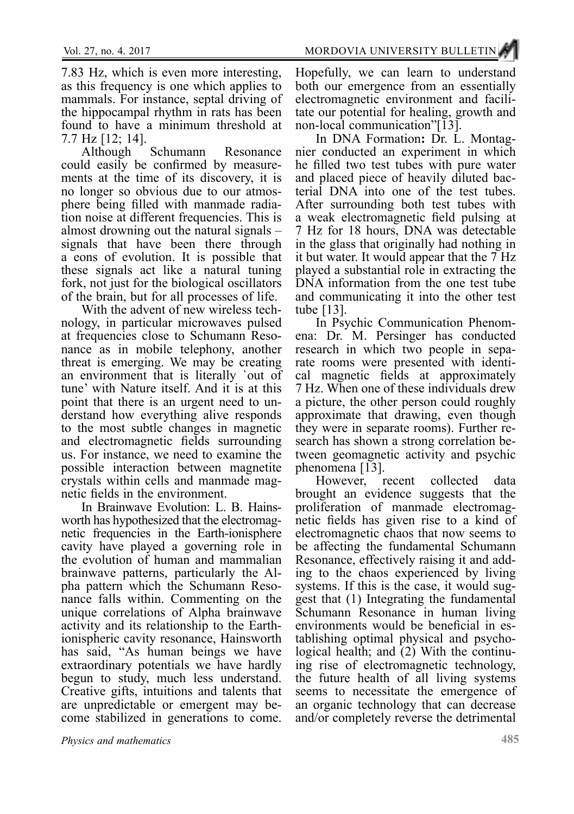7.83 Hz, which is even more interesting, as this frequency is one which applies to mammals. For instance, septal driving of the hippocampal rhythm in rats has been found to have a minimum threshold at

7.7 Hz [12; 14]. Although Schumann Resonance<br>could easily be confirmed by measurements at the time of its discovery, it is<br>no longer so obvious due to our atmosphere being filled with manmade radia-<br>tion noise at different frequencies. This is<br>almost drowning out the natural signals – signals that have been there through a eons of evolution. It is possible that these signals act like a natural tuning fork, not just for the biological oscillators

of the brain, but for all processes of life. nology, in particular microwaves pulsed at frequencies close to Schumann Reso- nance as in mobile telephony, another threat is emerging. We may be creating an environment that is literally `out of tune' with Nature itself. And it is at this derstand how everything alive responds to the most subtle changes in magnetic and electromagnetic fields surrounding us. For instance, we need to examine the possible interaction between magnetite crystals within cells and manmade mag- netic fields in the environment.

worth has hypothesized that the electromagnetic frequencies in the Earth-ionisphere cavity have played a governing role in the evolution of human and mammalian brainwave patterns, particularly the Alpha pattern which the Schumann Reso-<br>nance falls within. Commenting on the unique correlations of Alpha brainwave activity and its relationship to the Earthionispheric cavity resonance, Hainsworth has said, "As human beings we have extraordinary potentials we have hardly begun to study, much less understand. Creative gifts, intuitions and talents that are unpredictable or emergent may be- come stabilized in generations to come.

Hopefully, we can learn to understand both our emergence from an essentially electromagnetic environment and facili- tate our potential for healing, growth and

non-local communication"[13].<br>In DNA Formation: Dr. L. Montagnier conducted an experiment in which he filled two test tubes with pure water and placed piece of heavily diluted bac- terial DNA into one of the test tubes. After surrounding both test tubes with a weak electromagnetic field pulsing at 7 Hz for 18 hours, DNA was detectable in the glass that originally had nothing in it but water. It would appear that the 7 Hz played a substantial role in extracting the DNA information from the one test tube and communicating it into the other test

tube [13].<br>In Psychic Communication Phenomena: Dr. M. Persinger has conducted research in which two people in sepa-<br>rate rooms were presented with identi-<br>cal magnetic fields at approximately 7 Hz. When one of these individuals drew a picture, the other person could roughly approximate that drawing, even though they were in separate rooms). Further re- search has shown a strong correlation be- tween geomagnetic activity and psychic

phenomena [13].<br>However, recent However, recent collected data brought an evidence suggests that the proliferation of manmade electromag- netic fields has given rise to a kind of electromagnetic chaos that now seems to be affecting the fundamental Schumann<br>Resonance, effectively raising it and adding to the chaos experienced by living systems. If this is the case, it would suggest that (1) Integrating the fundamental Schumann Resonance in human living environments would be beneficial in establishing optimal physical and psychological health; and  $(2)$  With the continuing rise of electromagnetic technology, the future health of all living systems seems to necessitate the emergence of an organic technology that can decrease and/or completely reverse the detrimental

*Physics and mathematics*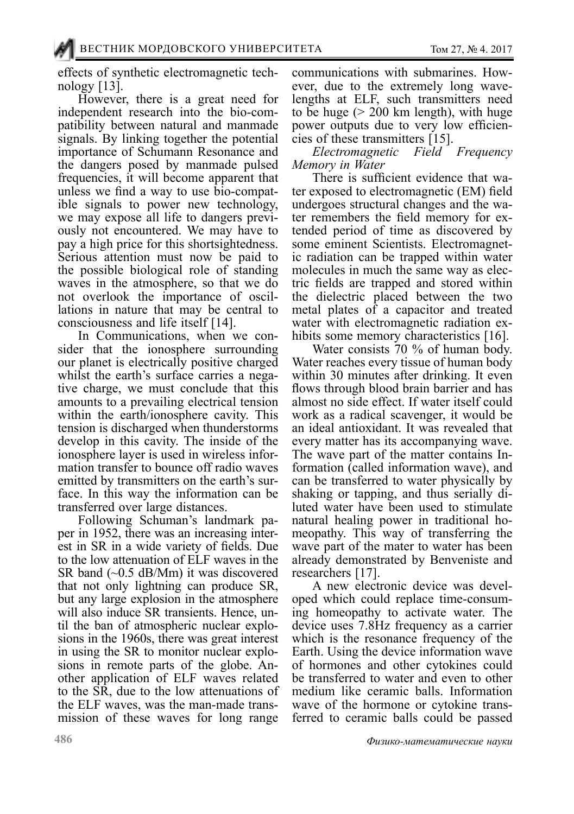effects of synthetic electromagnetic tech-<br>nology [13].

However, there is a great need for independent research into the bio-compatibility between natural and manmade signals. By linking together the potential importance of Schumann Resonance and the dangers posed by manmade pulsed frequencies, it will become apparent that ible signals to power new technology, we may expose all life to dangers previously not encountered. We may have to pay a high price for this shortsightedness. Serious attention must now be paid to the possible biological role of standing waves in the atmosphere, so that we do not overlook the importance of oscil- lations in nature that may be central to consciousness and life itself [14].

In Communications, when we consider that the ionosphere surrounding our planet is electrically positive charged whilst the earth's surface carries a negative charge, we must conclude that this amounts to a prevailing electrical tension within the earth/ionosphere cavity. This tension is discharged when thunderstorms develop in this cavity. The inside of the ionosphere layer is used in wireless infor-<br>mation transfer to bounce off radio waves<br>emitted by transmitters on the earth's surface. In this way the information can be

transferred over large distances.<br>Following Schuman's landmark paper in 1952, there was an increasing inter-<br>est in SR in a wide variety of fields. Due to the low attenuation of ELF waves in the SR band (~0.5 dB/Mm) it was discovered that not only lightning can produce SR, but any large explosion in the atmosphere will also induce SR transients. Hence, until the ban of atmospheric nuclear explosions in the 1960s, there was great interest in using the SR to monitor nuclear explosions in remote parts of the globe. Another application of ELF waves related to the SR, due to the low attenuations of the ELF waves, was the man-made trans- mission of these waves for long range

communications with submarines. How-<br>ever, due to the extremely long wave-<br>lengths at ELF, such transmitters need to be huge  $(> 200 \text{ km length})$ , with huge power outputs due to very low efficien- cies of these transmitters [15].

*Electromagnetic Field Frequency* 

*Memory in Water* ter exposed to electromagnetic (EM) field<br>undergoes structural changes and the water remembers the field memory for ex-<br>tended period of time as discovered by<br>some eminent Scientists. Electromagnetic radiation can be trapped within water molecules in much the same way as electric fields are trapped and stored within the dielectric placed between the two metal plates of a capacitor and treated water with electromagnetic radiation ex-<br>hibits some memory characteristics [16].

Water consists 70 % of human body. Water reaches every tissue of human body within 30 minutes after drinking. It even flows through blood brain barrier and has almost no side effect. If water itself could work as a radical scavenger, it would be an ideal antioxidant. It was revealed that every matter has its accompanying wave. The wave part of the matter contains In- formation (called information wave), and can be transferred to water physically by shaking or tapping, and thus serially di-<br>luted water have been used to stimulate natural healing power in traditional ho- meopathy. This way of transferring the wave part of the mater to water has been already demonstrated by Benveniste and researchers [17].

A new electronic device was devel- oped which could replace time-consum- ing homeopathy to activate water. The device uses 7.8Hz frequency as a carrier which is the resonance frequency of the Earth. Using the device information wave of hormones and other cytokines could be transferred to water and even to other medium like ceramic balls. Information wave of the hormone or cytokine trans-<br>ferred to ceramic balls could be passed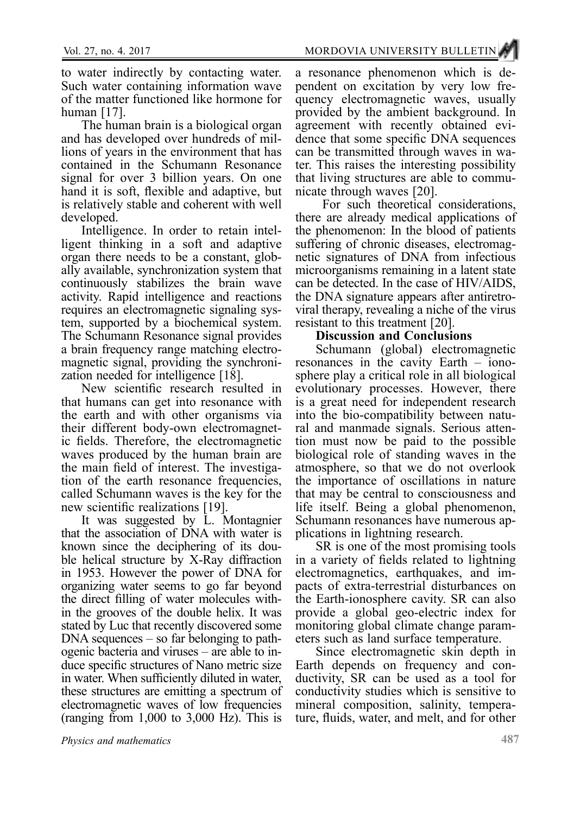to water indirectly by contacting water. Such water containing information wave of the matter functioned like hormone for human [17].

The human brain is a biological organ<br>and has developed over hundreds of millions of years in the environment that has contained in the Schumann Resonance signal for over 3 billion years. On one hand it is soft, flexible and adaptive, but is relatively stable and coherent with well

developed.<br>Intelligence. In order to retain intelligent thinking in a soft and adaptive. organ there needs to be a constant, glob- ally available, synchronization system that continuously stabilizes the brain wave activity. Rapid intelligence and reactions tem, supported by a biochemical system. The Schumann Resonance signal provides<br>a brain frequency range matching electromagnetic signal, providing the synchronization needed for intelligence [18].

New scientific research resulted in that humans can get into resonance with the earth and with other organisms via their different body-own electromagnet-<br>ic fields. Therefore, the electromagnetic waves produced by the human brain are<br>the main field of interest. The investigation of the earth resonance frequencies, called Schumann waves is the key for the new scientific realizations [19].

It was suggested by L. Montagnier that the association of DNA with water is known since the deciphering of its dou- ble helical structure by X-Ray diffraction in 1953. However the power of DNA for organizing water seems to go far beyond the direct filling of water molecules with- in the grooves of the double helix. It was stated by Luc that recently discovered some DNA sequences – so far belonging to pathogenic bacteria and viruses – are able to induce specific structures of Nano metric size in water. When sufficiently diluted in water, these structures are emitting a spectrum of electromagnetic waves of low frequencies (ranging from  $1,000$  to  $3,000$  Hz). This is

a resonance phenomenon which is dependent on excitation by very low frequency electromagnetic waves, usually provided by the ambient background. In dence that some specific DNA sequences can be transmitted through waves in water. This raises the interesting possibility that living structures are able to commu- nicate through waves [20].

 For such theoretical considerations, there are already medical applications of the phenomenon: In the blood of patients suffering of chronic diseases, electromagnetic signatures of DNA from infectious microorganisms remaining in a latent state can be detected. In the case of HIV/AIDS, the DNA signature appears after antiretro- viral therapy, revealing a niche of the virus resistant to this treatment [20].

## **Discussion and Conclusions**

Schumann (global) electromagnetic resonances in the cavity Earth – iono-<br>sphere play a critical role in all biological evolutionary processes. However, there is a great need for independent research into the bio-compatibility between natu- ral and manmade signals. Serious atten- tion must now be paid to the possible biological role of standing waves in the atmosphere, so that we do not overlook the importance of oscillations in nature that may be central to consciousness and life itself. Being a global phenomenon, Schumann resonances have numerous ap- plications in lightning research.

SR is one of the most promising tools in a variety of fields related to lightning electromagnetics, earthquakes, and im- pacts of extra-terrestrial disturbances on the Earth-ionosphere cavity. SR can also provide a global geo-electric index for monitoring global climate change parameters such as land surface temperature.

Since electromagnetic skin depth in Earth depends on frequency and conductivity, SR can be used as a tool for conductivity studies which is sensitive to mineral composition, salinity, tempera-<br>ture, fluids, water, and melt, and for other

*Physics and mathematics*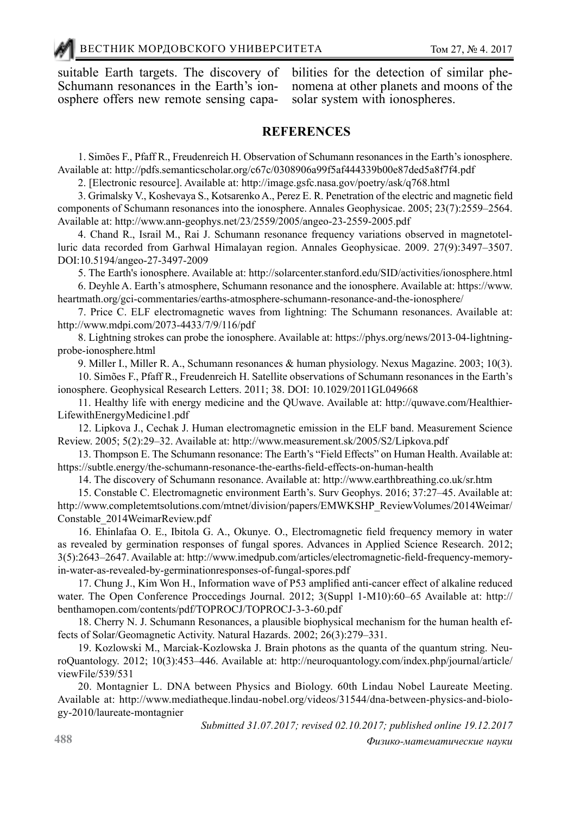suitable Earth targets. The discovery of Schumann resonances in the Earth's ionosphere offers new remote sensing capabilities for the detection of similar phe- nomena at other planets and moons of the solar system with ionospheres.

## **REFERENCES**

1. Simões F., Pfaff R., Freudenreich H. Observation of Schumann resonances in the Earth's ionosphere. Available at: http://pdfs.semanticscholar.org/c67c/0308906a99f5af444339b00e87ded5a8f7f4.pdf

2. [Electronic resource]. Available at: http://image.gsfc.nasa.gov/poetry/ask/q768.html

3. Grimalsky V., Koshevaya S., Kotsarenko A., Perez E. R. Penetration of the electric and magnetic field components of Schumann resonances into the ionosphere. Annales Geophysicae. 2005; 23(7):2559–2564. Available at: http://www.ann-geophys.net/23/2559/2005/angeo-23-2559-2005.pdf

4. Chand R., Israil M., Rai J. Schumann resonance frequency variations observed in magnetotelluric data recorded from Garhwal Himalayan region. Annales Geophysicae. 2009. 27(9):3497–3507. DOI:10.5194/angeo-27-3497-2009

5. The Earth's ionosphere. Available at: http://solarcenter.stanford.edu/SID/activities/ionosphere.html

6. Deyhle A. Earth's atmosphere, Schumann resonance and the ionosphere. Available at: https://www. heartmath.org/gci-commentaries/earths-atmosphere-schumann-resonance-and-the-ionosphere/

7. Price C. ELF electromagnetic waves from lightning: The Schumann resonances. Available at: http://www.mdpi.com/2073-4433/7/9/116/pdf

8. Lightning strokes can probe the ionosphere. Available at: https://phys.org/news/2013-04-lightningprobe-ionosphere.html

9. Miller I., Miller R. A., Schumann resonances & human physiology. Nexus Magazine. 2003; 10(3).

10. Simões F., Pfaff R., Freudenreich H. Satellite observations of Schumann resonances in the Earth's ionosphere. Geophysical Research Letters. 2011; 38. DOI: 10.1029/2011GL049668

11. Healthy life with energy medicine and the QUwave. Available at: http://quwave.com/Healthier-LifewithEnergyMedicine1.pdf

12. Lipkova J., Cechak J. Human electromagnetic emission in the ELF band. Measurement Science Review. 2005; 5(2):29–32. Available at: http://www.measurement.sk/2005/S2/Lipkova.pdf

13. Thompson E. The Schumann resonance: The Earth's "Field Effects" on Human Health. Available at: https://subtle.energy/the-schumann-resonance-the-earths-field-effects-on-human-health

14. The discovery of Schumann resonance. Available at: http://www.earthbreathing.co.uk/sr.htm

15. Constable C. Electromagnetic environment Earth's. Surv Geophys. 2016; 37:27–45. Available at: http://www.completemtsolutions.com/mtnet/division/papers/EMWKSHP\_ReviewVolumes/2014Weimar/ Constable\_2014WeimarReview.pdf

16. Ehinlafaa O. E., Ibitola G. A., Okunye. O., Electromagnetic field frequency memory in water as revealed by germination responses of fungal spores. Advances in Applied Science Research. 2012; 3(5):2643–2647. Available at: http://www.imedpub.com/articles/electromagnetic-field-frequency-memoryin-water-as-revealed-by-germinationresponses-of-fungal-spores.pdf

17. Chung J., Kim Won H., Information wave of P53 amplified anti-cancer effect of alkaline reduced water. The Open Conference Proccedings Journal. 2012; 3(Suppl 1-M10):60–65 Available at: http:// benthamopen.com/contents/pdf/TOPROCJ/TOPROCJ-3-3-60.pdf

18. Cherry N. J. Schumann Resonances, a plausible biophysical mechanism for the human health effects of Solar/Geomagnetic Activity. Natural Hazards. 2002; 26(3):279–331.

19. Kozlowski M., Marciak-Kozlowska J. Brain photons as the quanta of the quantum string. NeuroQuantology. 2012; 10(3):453–446. Available at: http://neuroquantology.com/index.php/journal/article/ viewFile/539/531

20. Montagnier L. DNA between Physics and Biology. 60th Lindau Nobel Laureate Meeting. Available at: http://www.mediatheque.lindau-nobel.org/videos/31544/dna-between-physics-and-biology-2010/laureate-montagnier

*Submitted 31.07.2017; revised 02.10.2017; published online 19.12.2017*

*Физико-математические науки*